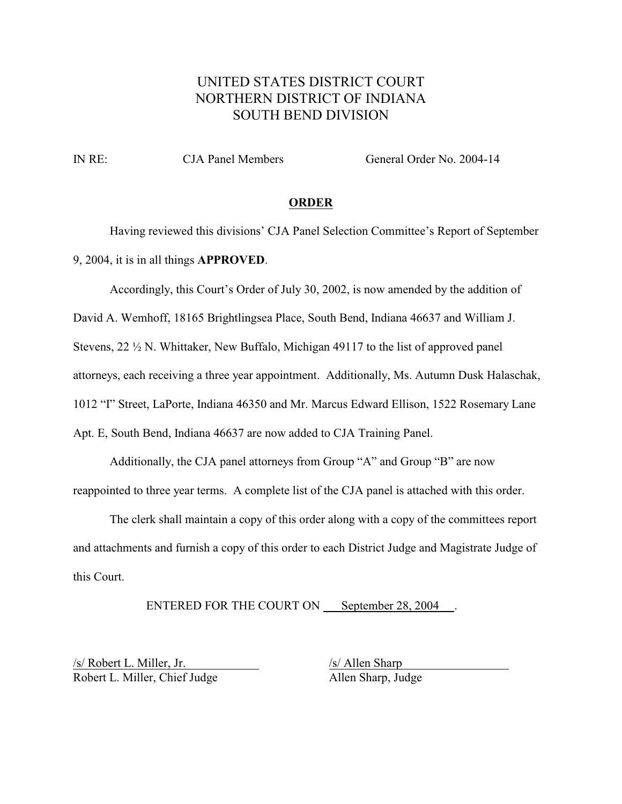# UNITED STATES DISTRICT COURT NORTHERN DISTRICT OF INDIANA SOUTH BEND DIVISION

IN RE: CJA Panel Members General Order No. 2004-14

#### **ORDER**

Having reviewed this divisions' CJA Panel Selection Committee's Report of September 9, 2004, it is in all things **APPROVED**.

Accordingly, this Court's Order of July 30, 2002, is now amended by the addition of David A. Wemhoff, 18165 Brightlingsea Place, South Bend, Indiana 46637 and William J. Stevens, 22 ½ N. Whittaker, New Buffalo, Michigan 49117 to the list of approved panel attorneys, each receiving a three year appointment. Additionally, Ms. Autumn Dusk Halaschak, 1012 "I" Street, LaPorte, Indiana 46350 and Mr. Marcus Edward Ellison, 1522 Rosemary Lane Apt. E, South Bend, Indiana 46637 are now added to CJA Training Panel.

Additionally, the CJA panel attorneys from Group "A" and Group "B" are now reappointed to three year terms. A complete list of the CJA panel is attached with this order.

The clerk shall maintain a copy of this order along with a copy of the committees report and attachments and furnish a copy of this order to each District Judge and Magistrate Judge of this Court.

ENTERED FOR THE COURT ON September 28, 2004 .

/s/ Robert L. Miller, Jr. /s/ Allen Sharp Robert L. Miller, Chief Judge Allen Sharp, Judge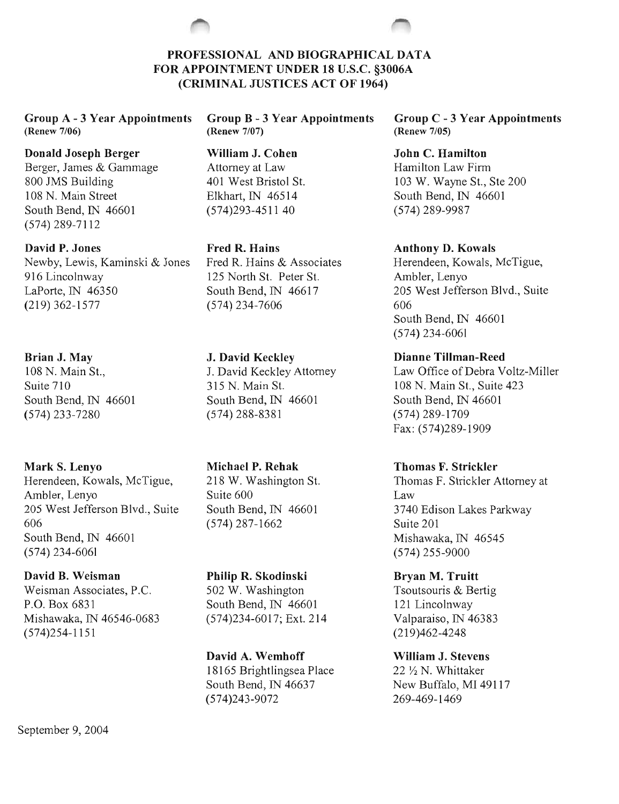

**Group A - 3 Year Appointments** (Renew 7/06)

**Donald Joseph Berger** Berger, James & Gammage 800 JMS Building 108 N. Main Street South Bend, IN 46601  $(574) 289 - 7112$ 

David P. Jones Newby, Lewis, Kaminski & Jones 916 Lincolnway LaPorte, IN 46350  $(219)$  362-1577

## Brian J. May 108 N. Main St., Suite 710 South Bend, IN 46601  $(574)$  233-7280

**Mark S. Lenyo** Herendeen, Kowals, McTigue, Ambler, Lenyo 205 West Jefferson Blvd., Suite 606 South Bend, IN 46601  $(574)$  234-6061

David B. Weisman Weisman Associates, P.C. P.O. Box 6831 Mishawaka, IN 46546-0683  $(574)254 - 1151$ 

**Group B - 3 Year Appointments** (Renew 7/07)

William J. Cohen Attorney at Law 401 West Bristol St. Elkhart, IN 46514  $(574)293 - 451140$ 

**Fred R. Hains** Fred R. Hains & Associates 125 North St. Peter St. South Bend, IN 46617  $(574)$  234-7606

**J. David Keckley** J. David Keckley Attorney 315 N. Main St. South Bend, IN 46601  $(574)$  288-8381

Michael P. Rehak 218 W. Washington St. Suite 600 South Bend, IN 46601  $(574)$  287-1662

Philip R. Skodinski 502 W. Washington South Bend, IN 46601  $(574)$ 234-6017; Ext. 214

David A. Wemhoff 18165 Brightlingsea Place South Bend, IN 46637  $(574)243 - 9072$ 

**Group C - 3 Year Appointments** (Renew 7/05)

**John C. Hamilton** Hamilton Law Firm 103 W. Wayne St., Ste 200 South Bend, IN 46601  $(574)$  289-9987

**Anthony D. Kowals** Herendeen, Kowals, McTigue, Ambler, Lenyo 205 West Jefferson Blvd., Suite 606 South Bend, IN 46601  $(574)$  234-6061

**Dianne Tillman-Reed** Law Office of Debra Voltz-Miller 108 N. Main St., Suite 423 South Bend, IN 46601  $(574)$  289-1709 Fax: (574)289-1909

**Thomas F. Strickler** Thomas F. Strickler Attorney at Law 3740 Edison Lakes Parkway Suite 201 Mishawaka, IN 46545  $(574)$  255-9000

Bryan M. Truitt Tsoutsouris & Bertig 121 Lincolnway Valparaiso, IN 46383  $(219)462 - 4248$ 

William J. Stevens  $22 \frac{1}{2}$  N. Whittaker New Buffalo, MI 49117 269-469-1469